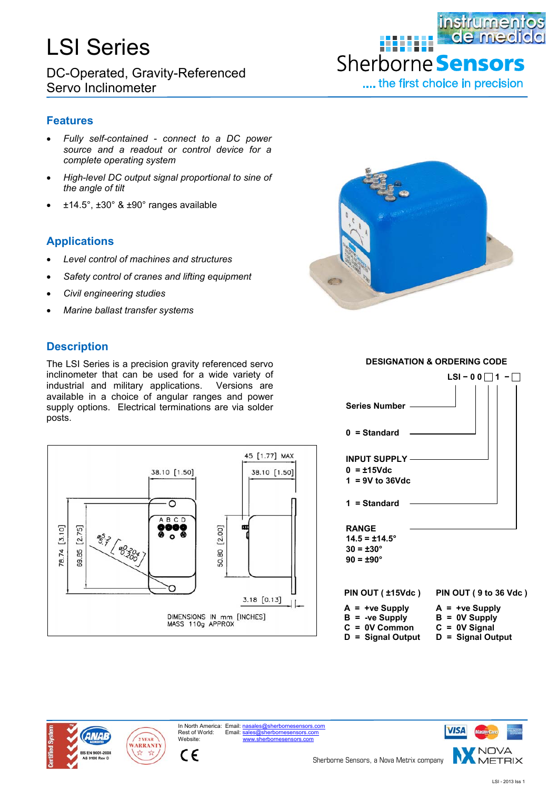# LSI Series

DC-Operated, Gravity-Referenced Servo Inclinometer

### **instrumentos** de med 888888 Sherborne Senso .... the first choice in precision

**Features**

- *Fully self-contained connect to a DC power source and a readout or control device for a complete operating system*
- *High-level DC output signal proportional to sine of the angle of tilt*
- ±14.5°, ±30° & ±90° ranges available

## **Applications**

- *Level control of machines and structures*
- *Safety control of cranes and lifting equipment*
- *Civil engineering studies*
- *Marine ballast transfer systems*

### **Description**

The LSI Series is a precision gravity referenced servo inclinometer that can be used for a wide variety of industrial and military applications. Versions are available in a choice of angular ranges and power supply options. Electrical terminations are via solder posts.









Website:

 $\epsilon$ 

In North America: Email: nasales@sherbornesensensors.com Email: sales@sherbornesensors.com



**DESIGNATION & ORDERING CODE**